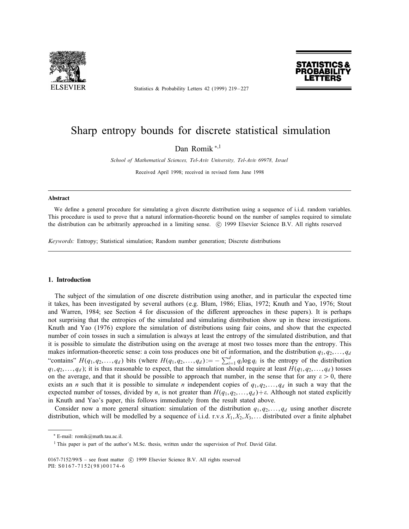

Statistics & Probability Letters 42 (1999) 219-227



# Sharp entropy bounds for discrete statistical simulation

Dan Romik <sup>\*,1</sup>

School of Mathematical Sciences, Tel-Aviv University, Tel-Aviv 69978, Israel

Received April 1998; received in revised form June 1998

#### Abstract

We define a general procedure for simulating a given discrete distribution using a sequence of i.i.d. random variables. This procedure is used to prove that a natural information-theoretic bound on the number of samples required to simulate the distribution can be arbitrarily approached in a limiting sense. (C) 1999 Elsevier Science B.V. All rights reserved

Keywords: Entropy; Statistical simulation; Random number generation; Discrete distributions

## 1. Introduction

The subject of the simulation of one discrete distribution using another, and in particular the expected time it takes, has been investigated by several authors (e.g. Blum, 1986; Elias, 1972; Knuth and Yao, 1976; Stout and Warren, 1984; see Section 4 for discussion of the different approaches in these papers). It is perhaps not surprising that the entropies of the simulated and simulating distribution show up in these investigations. Knuth and Yao (1976) explore the simulation of distributions using fair coins, and show that the expected number of coin tosses in such a simulation is always at least the entropy of the simulated distribution, and that it is possible to simulate the distribution using on the average at most two tosses more than the entropy. This makes information-theoretic sense: a coin toss produces one bit of information, and the distribution  $q_1, q_2, \ldots, q_d$ "contains"  $H(q_1, q_2,..., q_d)$  bits (where  $H(q_1, q_2,..., q_d) := -\sum_{i=1}^d q_i \log q_i$  is the entropy of the distribution  $q_1, q_2,..., q_d$ ); it is thus reasonable to expect, that the simulation should require at least  $H(q_1, q_2,..., q_d)$  tosses on the average, and that it should be possible to approach that number, in the sense that for any  $\varepsilon > 0$ , there exists an *n* such that it is possible to simulate *n* independent copies of  $q_1, q_2, \ldots, q_d$  in such a way that the expected number of tosses, divided by n, is not greater than  $H(q_1, q_2, \ldots, q_d) + \varepsilon$ . Although not stated explicitly in Knuth and Yao's paper, this follows immediately from the result stated above.

Consider now a more general situation: simulation of the distribution  $q_1, q_2,...,q_d$  using another discrete distribution, which will be modelled by a sequence of i.i.d. r.v.s  $X_1, X_2, X_3, \ldots$  distributed over a finite alphabet

<sup>∗</sup> E-mail: romik@math.tau.ac.il.

<sup>&</sup>lt;sup>1</sup> This paper is part of the author's M.Sc. thesis, written under the supervision of Prof. David Gilat.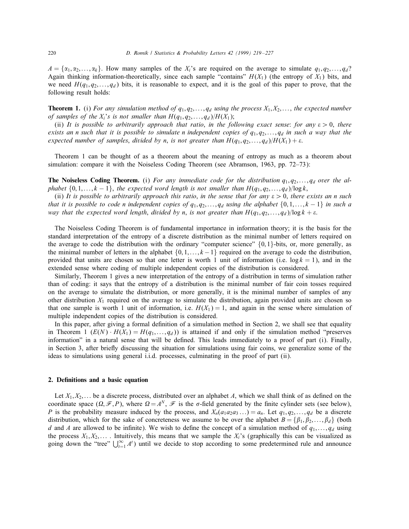$A = \{\alpha_1, \alpha_2, \dots, \alpha_k\}$ . How many samples of the  $X_i$ 's are required on the average to simulate  $q_1, q_2, \dots, q_d$ ? Again thinking information-theoretically, since each sample "contains"  $H(X_1)$  (the entropy of  $X_1$ ) bits, and we need  $H(q_1, q_2,...,q_d)$  bits, it is reasonable to expect, and it is the goal of this paper to prove, that the following result holds:

**Theorem 1.** (i) For any simulation method of  $q_1, q_2, \ldots, q_d$  using the process  $X_1, X_2, \ldots$ , the expected number of samples of the  $X_i$ 's is not smaller than  $H(q_1, q_2, \ldots, q_d)/H(X_1);$ 

(ii) It is possible to arbitrarily approach that ratio, in the following exact sense: for any  $\varepsilon > 0$ , there exists an n such that it is possible to simulate n independent copies of  $q_1, q_2, \ldots, q_d$  in such a way that the expected number of samples, divided by n, is not greater than  $H(q_1, q_2, \ldots, q_d)/H(X_1) + \varepsilon$ .

Theorem 1 can be thought of as a theorem about the meaning of entropy as much as a theorem about simulation: compare it with the Noiseless Coding Theorem (see Abramson, 1963, pp. 72–73):

**The Noiseless Coding Theorem.** (i) For any immediate code for the distribution  $q_1, q_2, \ldots, q_d$  over the alphabet  $\{0, 1, \ldots, k-1\}$ , the expected word length is not smaller than  $H(q_1, q_2, \ldots, q_d)/\log k$ ,

(ii) It is possible to arbitrarily approach this ratio, in the sense that for any  $\varepsilon > 0$ , there exists an n such that it is possible to code n independent copies of  $q_1, q_2, \ldots, q_d$  using the alphabet  $\{0, 1, \ldots, k-1\}$  in such a way that the expected word length, divided by n, is not greater than  $H(q_1, q_2, \ldots, q_d) / \log k + \varepsilon$ .

The Noiseless Coding Theorem is of fundamental importance in information theory; it is the basis for the standard interpretation of the entropy of a discrete distribution as the minimal number of letters required on the average to code the distribution with the ordinary "computer science"  $\{0, 1\}$ -bits, or, more generally, as the minimal number of letters in the alphabet  $\{0, 1, \ldots, k-1\}$  required on the average to code the distribution, provided that units are chosen so that one letter is worth 1 unit of information (i.e.  $\log k = 1$ ), and in the extended sense where coding of multiple independent copies of the distribution is considered.

Similarly, Theorem 1 gives a new interpretation of the entropy of a distribution in terms of simulation rather than of coding: it says that the entropy of a distribution is the minimal number of fair coin tosses required on the average to simulate the distribution, or more generally, it is the minimal number of samples of any other distribution  $X_1$  required on the average to simulate the distribution, again provided units are chosen so that one sample is worth 1 unit of information, i.e.  $H(X_1) = 1$ , and again in the sense where simulation of multiple independent copies of the distribution is considered.

In this paper, after giving a formal definition of a simulation method in Section 2, we shall see that equality in Theorem 1  $(E(N) \cdot H(X_1) = H(q_1,...,q_d))$  is attained if and only if the simulation method "preserves" information" in a natural sense that will be defined. This leads immediately to a proof of part (i). Finally, in Section 3, after briefly discussing the situation for simulations using fair coins, we generalize some of the ideas to simulations using general i.i.d. processes, culminating in the proof of part (ii).

#### 2. Denitions and a basic equation

Let  $X_1, X_2, \ldots$  be a discrete process, distributed over an alphabet A, which we shall think of as defined on the coordinate space  $(\Omega, \mathcal{F}, P)$ , where  $\Omega = A^N$ ,  $\mathcal{F}$  is the  $\sigma$ -field generated by the finite cylinder sets (see below), P is the probability measure induced by the process, and  $X_n(a_1a_2a_3...) = a_n$ . Let  $q_1, q_2,..., q_d$  be a discrete distribution, which for the sake of concreteness we assume to be over the alphabet  $B = \{\beta_1, \beta_2, \dots, \beta_d\}$  (both d and A are allowed to be infinite). We wish to define the concept of a simulation method of  $q_1, \ldots, q_d$  using the process  $X_1, X_2, \ldots$ . Intuitively, this means that we sample the  $X_i$ 's (graphically this can be visualized as going down the "tree"  $\bigcup_{t=1}^{\infty} A^t$ ) until we decide to stop according to some predetermined rule and announce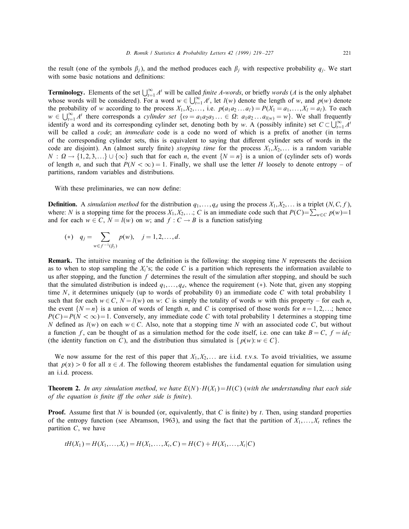the result (one of the symbols  $\beta_i$ ), and the method produces each  $\beta_i$  with respective probability  $q_i$ . We start with some basic notations and definitions:

**Terminology.** Elements of the set  $\bigcup_{t=1}^{\infty} A^t$  will be called *finite A-words*, or briefly *words* (A is the only alphabet whose words will be considered). For a word  $w \in \bigcup_{t=1}^{\infty} A^t$ , let  $l(w)$  denote the length of w, and  $p(w)$  denote the probability of w according to the process  $X_1, X_2, \ldots$ , i.e.  $p(a_1a_2 \ldots a_l) = P(X_1 = a_1, \ldots, X_l = a_l)$ . To each  $w \in \bigcup_{t=1}^{\infty} A^t$  there corresponds a *cylinder set*  $\{ \omega = a_1 a_2 a_3 ... \in \Omega : a_1 a_2 ... a_{l(w)} = w \}$ . We shall frequently identify a word and its corresponding cylinder set, denoting both by w. A (possibly infinite) set  $C \subset \bigcup_{t=1}^{\infty} A^t$ will be called a *code*; an *immediate* code is a code no word of which is a prefix of another (in terms of the corresponding cylinder sets, this is equivalent to saying that different cylinder sets of words in the code are disjoint). An (almost surely finite) *stopping time* for the process  $X_1, X_2, \ldots$  is a random variable  $N: \Omega \to \{1, 2, 3, ...\} \cup \{\infty\}$  such that for each *n*, the event  $\{N = n\}$  is a union of (cylinder sets of) words of length n, and such that  $P(N < \infty) = 1$ . Finally, we shall use the letter H loosely to denote entropy – of partitions, random variables and distributions.

With these preliminaries, we can now define:

**Definition.** A simulation method for the distribution  $q_1, \ldots, q_d$  using the process  $X_1, X_2, \ldots$  is a triplet  $(N, C, f)$ , where: N is a stopping time for the process  $X_1, X_2, \dots$ ; C is an immediate code such that  $P(C) = \sum_{w \in C} p(w) = 1$ and for each  $w \in C$ ,  $N = l(w)$  on w; and  $f : C \rightarrow B$  is a function satisfying

(\*) 
$$
q_j = \sum_{w \in f^{-1}(\beta_j)} p(w), \quad j = 1, 2, ..., d.
$$

**Remark.** The intuitive meaning of the definition is the following: the stopping time  $N$  represents the decision as to when to stop sampling the  $X_i$ 's; the code C is a partition which represents the information available to us after stopping, and the function  $f$  determines the result of the simulation after stopping, and should be such that the simulated distribution is indeed  $q_1, \ldots, q_d$ , whence the requirement (\*). Note that, given any stopping time N, it determines uniquely (up to words of probability 0) an immediate code C with total probability 1 such that for each  $w \in C$ ,  $N = l(w)$  on w: C is simply the totality of words w with this property – for each n, the event  $\{N = n\}$  is a union of words of length n, and C is comprised of those words for  $n = 1, 2, \ldots$ ; hence  $P(C)=P(N < \infty)$ =1. Conversely, any immediate code C with total probability 1 determines a stopping time N defined as  $l(w)$  on each  $w \in C$ . Also, note that a stopping time N with an associated code C, but without a function f, can be thought of as a simulation method for the code itself, i.e. one can take  $B = C$ ,  $f = id_C$ (the identity function on C), and the distribution thus simulated is  $\{p(w): w \in C\}$ .

We now assume for the rest of this paper that  $X_1, X_2, \ldots$  are i.i.d. r.v.s. To avoid trivialities, we assume that  $p(x) > 0$  for all  $\alpha \in A$ . The following theorem establishes the fundamental equation for simulation using an i.i.d. process.

**Theorem 2.** In any simulation method, we have  $E(N) \cdot H(X_1) = H(C)$  (with the understanding that each side of the equation is finite iff the other side is finite).

**Proof.** Assume first that N is bounded (or, equivalently, that C is finite) by t. Then, using standard properties of the entropy function (see Abramson, 1963), and using the fact that the partition of  $X_1, \ldots, X_t$  refines the partition  $C$ , we have

$$
tH(X_1) = H(X_1, \ldots, X_t) = H(X_1, \ldots, X_t, C) = H(C) + H(X_1, \ldots, X_t | C)
$$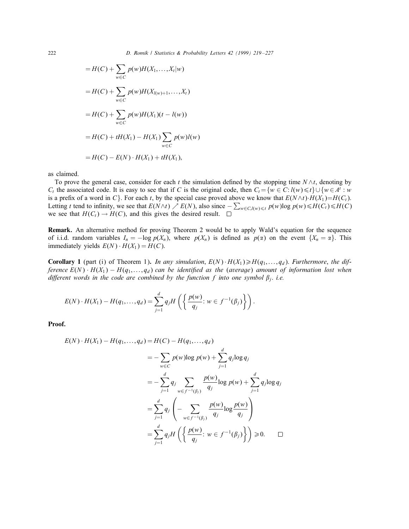$$
= H(C) + \sum_{w \in C} p(w)H(X_1, ..., X_t|w)
$$
  
=  $H(C) + \sum_{w \in C} p(w)H(X_{l(w)+1}, ..., X_t)$   
=  $H(C) + \sum_{w \in C} p(w)H(X_1)(t - l(w))$   
=  $H(C) + tH(X_1) - H(X_1) \sum_{w \in C} p(w)l(w)$   
=  $H(C) - E(N) \cdot H(X_1) + tH(X_1)$ ,

as claimed.

To prove the general case, consider for each t the simulation defined by the stopping time  $N \wedge t$ , denoting by  $C_t$  the associated code. It is easy to see that if C is the original code, then  $C_t = \{w \in C : l(w) \leq t\} \cup \{w \in A^t : w \in A \}$ is a prefix of a word in C}. For each t, by the special case proved above we know that  $E(N \wedge t) \cdot H(X_1) = H(C_t)$ . Letting t tend to infinity, we see that  $E(N \wedge t) \nearrow E(N)$ , also since  $-\sum_{w \in C, l(w) \le t} p(w) \log p(w) \le H(C_t) \le H(C)$ we see that  $H(C_t) \to H(C)$ , and this gives the desired result.  $\square$ 

Remark. An alternative method for proving Theorem 2 would be to apply Wald's equation for the sequence of i.i.d. random variables  $I_n = -\log p(X_n)$ , where  $p(X_n)$  is defined as  $p(\alpha)$  on the event  $\{X_n = \alpha\}$ . This immediately yields  $E(N) \cdot H(X_1) = H(C)$ .

**Corollary 1** (part (i) of Theorem 1). In any simulation,  $E(N) \cdot H(X_1) \ge H(q_1, \ldots, q_d)$ . Furthermore, the difference  $E(N) \cdot H(X_1) - H(q_1, \ldots, q_d)$  can be identified as the (average) amount of information lost when different words in the code are combined by the function f into one symbol  $\beta_i$ . i.e.

$$
E(N) \cdot H(X_1) - H(q_1, ..., q_d) = \sum_{j=1}^d q_j H\left(\left\{\frac{p(w)}{q_j}: w \in f^{-1}(\beta_j)\right\}\right).
$$

Proof.

$$
E(N) \cdot H(X_1) - H(q_1, ..., q_d) = H(C) - H(q_1, ..., q_d)
$$
  
=  $-\sum_{w \in C} p(w) \log p(w) + \sum_{j=1}^d q_j \log q_j$   
=  $-\sum_{j=1}^d q_j \sum_{w \in f^{-1}(\beta_j)} \frac{p(w)}{q_j} \log p(w) + \sum_{j=1}^d q_j \log q_j$   
=  $\sum_{j=1}^d q_j \left( - \sum_{w \in f^{-1}(\beta_j)} \frac{p(w)}{q_j} \log \frac{p(w)}{q_j} \right)$   
=  $\sum_{j=1}^d q_j H\left( \left\{ \frac{p(w)}{q_j} : w \in f^{-1}(\beta_j) \right\} \right) \ge 0.$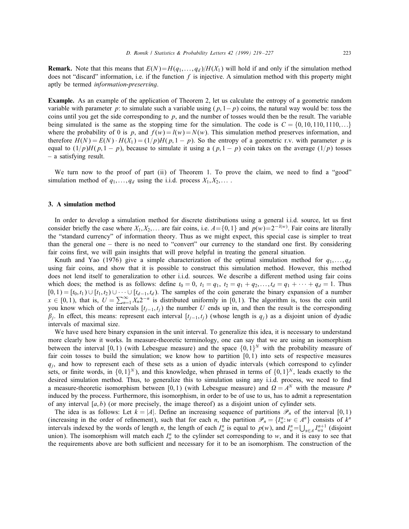**Remark.** Note that this means that  $E(N)=H(q_1,\ldots,q_d)/H(X_1)$  will hold if and only if the simulation method does not "discard" information, i.e. if the function  $f$  is injective. A simulation method with this property might aptly be termed information-preserving.

Example. As an example of the application of Theorem 2, let us calculate the entropy of a geometric random variable with parameter p: to simulate such a variable using  $(p, 1-p)$  coins, the natural way would be: toss the coins until you get the side corresponding to p, and the number of tosses would then be the result. The variable being simulated is the same as the stopping time for the simulation. The code is  $C = \{0, 10, 110, 1110, ...\}$ where the probability of 0 is p, and  $f(w) = l(w) = N(w)$ . This simulation method preserves information, and therefore  $H(N) = E(N) \cdot H(X_1) = (1/p)H(p, 1 - p)$ . So the entropy of a geometric r.v. with parameter p is equal to  $(1/p)H(p, 1-p)$ , because to simulate it using a  $(p, 1-p)$  coin takes on the average  $(1/p)$  tosses – a satisfying result.

We turn now to the proof of part (ii) of Theorem 1. To prove the claim, we need to find a "good" simulation method of  $q_1, \ldots, q_d$  using the i.i.d. process  $X_1, X_2, \ldots$ .

## 3. A simulation method

In order to develop a simulation method for discrete distributions using a general i.i.d. source, let us first consider briefly the case where  $X_1, X_2, \ldots$  are fair coins, i.e.  $A = \{0, 1\}$  and  $p(w) = 2^{-l(w)}$ . Fair coins are literally the "standard currency" of information theory. Thus as we might expect, this special case is simpler to treat than the general one – there is no need to "convert" our currency to the standard one first. By considering fair coins first, we will gain insights that will prove helpful in treating the general situation.

Knuth and Yao (1976) give a simple characterization of the optimal simulation method for  $q_1, \ldots, q_d$ using fair coins, and show that it is possible to construct this simulation method. However, this method does not lend itself to generalization to other i.i.d. sources. We describe a different method using fair coins which does; the method is as follows: define  $t_0 = 0$ ,  $t_1 = q_1$ ,  $t_2 = q_1 + q_2$ ,...,  $t_d = q_1 + \cdots + q_d = 1$ . Thus  $[0, 1) = [t_0, t_1) \cup [t_1, t_2) \cup \cdots \cup [t_{d-1}, t_d)$ . The samples of the coin generate the binary expansion of a number  $x \in [0,1)$ , that is,  $U = \sum_{n=1}^{\infty} X_n 2^{-n}$  is distributed uniformly in [0,1). The algorithm is, toss the coin until you know which of the intervals  $[t_{i-1}, t_i)$  the number U ends up in, and then the result is the corresponding  $\beta_i$ . In effect, this means: represent each interval  $[t_{i-1}, t_i)$  (whose length is  $q_i$ ) as a disjoint union of dyadic intervals of maximal size.

We have used here binary expansion in the unit interval. To generalize this idea, it is necessary to understand more clearly how it works. In measure-theoretic terminology, one can say that we are using an isomorphism between the interval [0, 1) (with Lebesgue measure) and the space  $\{0,1\}^N$  with the probability measure of fair coin tosses to build the simulation; we know how to partition  $[0, 1)$  into sets of respective measures  $q_i$ , and how to represent each of these sets as a union of dyadic intervals (which correspond to cylinder sets, or finite words, in  $\{0,1\}^N$ ), and this knowledge, when phrased in terms of  $\{0,1\}^N$ , leads exactly to the desired simulation method. Thus, to generalize this to simulation using any i.i.d. process, we need to find a measure-theoretic isomorphism between [0,1) (with Lebesgue measure) and  $\Omega = A^N$  with the measure P induced by the process. Furthermore, this isomorphism, in order to be of use to us, has to admit a representation of any interval  $[a, b]$  (or more precisely, the image thereof) as a disjoint union of cylinder sets.

The idea is as follows: Let  $k = |A|$ . Define an increasing sequence of partitions  $\mathcal{P}_n$  of the interval [0,1) (increasing in the order of refinement), such that for each *n*, the partition  $\mathcal{P}_n = \{I_w^n : w \in A^n\}$  consists of  $k^n$ intervals indexed by the words of length *n*, the length of each  $I_w^n$  is equal to  $p(w)$ , and  $I_w^n = \bigcup_{\alpha \in A} I_{w\alpha}^{n+1}$  (disjoint union). The isomorphism will match each  $I_w^n$  to the cylinder set corresponding to w, and it is easy to see that the requirements above are both sufficient and necessary for it to be an isomorphism. The construction of the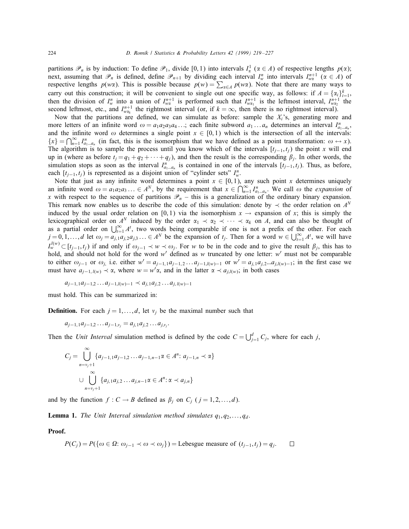partitions  $\mathcal{P}_n$  is by induction: To define  $\mathcal{P}_1$ , divide [0,1) into intervals  $I^1_\alpha$  ( $\alpha \in A$ ) of respective lengths  $p(\alpha)$ ; next, assuming that  $\mathscr{P}_n$  is defined, define  $\mathscr{P}_{n+1}$  by dividing each interval  $I_w^n$  into intervals  $I_{w\alpha}^{n+1}$  ( $\alpha \in A$ ) of respective lengths  $p(w\alpha)$ . This is possible because  $p(w) = \sum_{\alpha \in A} p(w\alpha)$ . Note that there are many ways to carry out this construction; it will be convenient to single out one specific way, as follows: if  $A = \{a_i\}_{i=1}^k$ , then the division of  $I_w^n$  into a union of  $I_{w\alpha}^{n+1}$  is performed such that  $I_{w\alpha_1}^{n+1}$  is the leftmost interval,  $I_{w\alpha_2}^{n+1}$  the second leftmost, etc., and  $I_{w\alpha_k}^{n+1}$  the rightmost interval (or, if  $k = \infty$ , then there is no rightmost interval).

Now that the partitions are defined, we can simulate as before: sample the  $X_i$ 's, generating more and more letters of an infinite word  $\omega = a_1 a_2 a_3 a_4 \dots$ ; each finite subword  $a_1 \dots a_n$  determines an interval  $I_{a_1 \dots a_n}^n$ , and the infinite word  $\omega$  determines a single point  $x \in [0,1)$  which is the intersection of all the intervals:  ${x} = \bigcap_{n=1}^{\infty} I_{a_1...a_n}^n$  (in fact, this is the isomorphism that we have defined as a point transformation:  $\omega \leftrightarrow x$ ). The algorithm is to sample the process until you know which of the intervals  $[t_{i-1}, t_i)$  the point x will end up in (where as before  $t_i = q_1 + q_2 + \cdots + q_i$ ), and then the result is the corresponding  $\beta_i$ . In other words, the simulation stops as soon as the interval  $I_{a_1...a_n}^n$  is contained in one of the intervals  $[t_{j-1}, t_j)$ . Thus, as before, each  $[t_{j-1}, t_j)$  is represented as a disjoint union of "cylinder sets"  $I_w^n$ .

Note that just as any infinite word determines a point  $x \in [0,1)$ , any such point x determines uniquely an infinite word  $\omega = a_1 a_2 a_3 ... \in A^N$ , by the requirement that  $x \in \bigcap_{n=1}^{\infty} I_{a_1...a_n}^n$ . We call  $\omega$  the *expansion* of x with respect to the sequence of partitions  $\mathcal{P}_n$  – this is a generalization of the ordinary binary expansion. This remark now enables us to describe the code of this simulation: denote by  $\prec$  the order relation on  $A^N$ induced by the usual order relation on [0,1) via the isomorphism  $x \to e^{i\pi}$  expansion of x; this is simply the lexicographical order on  $A^N$  induced by the order  $\alpha_1 \prec \alpha_2 \prec \cdots \prec \alpha_k$  on A, and can also be thought of as a partial order on  $\bigcup_{t=1}^{\infty} A^t$ , two words being comparable if one is not a prefix of the other. For each  $j = 0, 1, \ldots, d$  let  $\omega_j = a_{j,1}a_{j,2}a_{j,3} \ldots \in A^N$  be the expansion of  $t_j$ . Then for a word  $w \in \bigcup_{t=1}^{\infty} A^t$ , we will have  $I_w^{l(w)}$  ⊂ [ $t_{j-1}, t_j$ ) if and only if  $\omega_{j-1} \prec w \prec \omega_j$ . For w to be in the code and to give the result  $\beta_j$ , this has to hold, and should not hold for the word w' defined as w truncated by one letter: w' must not be comparable to either  $\omega_{j-1}$  or  $\omega_j$  i.e. either  $w' = a_{j-1,1}a_{j-1,2}...a_{j-1,l(w)-1}$  or  $w' = a_{j,1}a_{j,2}...a_{j,l(w)-1}$ ; in the first case we must have  $a_{j-1, l(w)} \prec \alpha$ , where  $w = w'\alpha$ , and in the latter  $\alpha \prec a_{j, l(w)}$ ; in both cases

$$
a_{j-1,1}a_{j-1,2}\dots a_{j-1,l(w)-1} \prec a_{j,1}a_{j,2}\dots a_{j,l(w)-1}
$$

must hold. This can be summarized in:

**Definition.** For each  $j = 1, \ldots, d$ , let  $v_j$  be the maximal number such that

$$
a_{j-1,1}a_{j-1,2}\ldots a_{j-1,v_j}=a_{j,1}a_{j,2}\ldots a_{j,v_j}.
$$

Then the Unit Interval simulation method is defined by the code  $C = \bigcup_{j=1}^{d} C_j$ , where for each j,

$$
C_j = \bigcup_{n=v_j+1}^{\infty} \{a_{j-1,1}a_{j-1,2} \dots a_{j-1,n-1} \alpha \in A^n : a_{j-1,n} \prec \alpha\}
$$
  

$$
\cup \bigcup_{n=v_j+1}^{\infty} \{a_{j,1}a_{j,2} \dots a_{j,n-1} \alpha \in A^n : \alpha \prec a_{j,n}\}
$$

and by the function  $f: C \to B$  defined as  $\beta_j$  on  $C_j$   $(j = 1, 2, \ldots, d)$ .

**Lemma 1.** The Unit Interval simulation method simulates  $q_1, q_2, \ldots, q_d$ .

Proof.

$$
P(C_j) = P(\{\omega \in \Omega : \omega_{j-1} \prec \omega \prec \omega_j\}) = \text{Lebesgue measure of } (t_{j-1}, t_j) = q_j. \qquad \Box
$$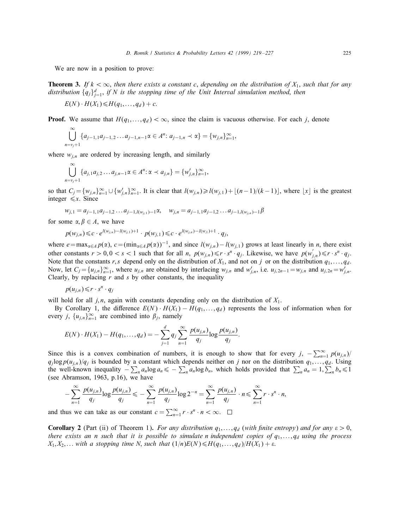We are now in a position to prove:

**Theorem 3.** If  $k < \infty$ , then there exists a constant c, depending on the distribution of  $X_1$ , such that for any distribution  $\{q_j\}_{j=1}^d$ , if N is the stopping time of the Unit Interval simulation method, then

$$
E(N)\cdot H(X_1)\leq H(q_1,\ldots,q_d)+c.
$$

**Proof.** We assume that  $H(q_1,...,q_d) < \infty$ , since the claim is vacuous otherwise. For each j, denote

$$
\bigcup_{n=v_j+1}^{\infty} \{a_{j-1,1}a_{j-1,2}\dots a_{j-1,n-1}\alpha \in A^n: a_{j-1,n} \prec \alpha\} = \{w_{j,n}\}_{n=1}^{\infty},
$$

where  $w_{j,n}$  are ordered by increasing length, and similarly

$$
\bigcup_{n=v_j+1}^{\infty} \{a_{j,1}a_{j,2} \ldots a_{j,n-1} \alpha \in A^n : \alpha \prec a_{j,n}\} = \{w'_{j,n}\}_{n=1}^{\infty},
$$

so that  $C_j = \{w_{j,n}\}_{n=1}^{\infty} \cup \{w'_{j,n}\}_{n=1}^{\infty}$ . It is clear that  $l(w_{j,n}) \ge l(w_{j,1}) + \lfloor (n-1)/(k-1) \rfloor$ , where  $\lfloor x \rfloor$  is the greatest integer  $\leq x$ . Since

$$
w_{j,1} = a_{j-1,1}a_{j-1,2}\dots a_{j-1,l(w_{j,1})-1}\alpha, \quad w_{j,n} = a_{j-1,1}a_{j-1,2}\dots a_{j-1,l(w_{j,n})-1}\beta
$$

for some  $\alpha, \beta \in A$ , we have

$$
p(w_{j,n}) \leq c \cdot e^{l(w_{j,n}) - l(w_{j,1}) + 1} \cdot p(w_{j,1}) \leq c \cdot e^{l(w_{j,n}) - l(w_{,1}) + 1} \cdot q_j,
$$

where  $e = \max_{\alpha \in A} p(\alpha)$ ,  $c = (\min_{\alpha \in A} p(\alpha))^{-1}$ , and since  $l(w_{j,n}) - l(w_{j,1})$  grows at least linearly in *n*, there exist other constants  $r > 0, 0 < s < 1$  such that for all n,  $p(w_{j,n}) \leq r \cdot s^n \cdot q_j$ . Likewise, we have  $p(w'_{j,n}) \leq r \cdot s^n \cdot q_j$ . Note that the constants r, s depend only on the distribution of  $X_1$ , and not on j or on the distribution  $q_1, \ldots, q_d$ . Now, let  $C_j = \{u_{j,n}\}_{n=1}^{\infty}$ , where  $u_{j,n}$  are obtained by interlacing  $w_{j,n}$  and  $w'_{j,n}$ , i.e.  $u_{j,2n-1} = w_{j,n}$  and  $u_{j,2n} = w'_{j,n}$ . Clearly, by replacing  $r$  and  $s$  by other constants, the inequality

$$
p(u_{j,n})\leq r\cdot s^n\cdot q_j
$$

will hold for all j, n, again with constants depending only on the distribution of  $X_1$ .

By Corollary 1, the difference  $E(N) \cdot H(X_1) - H(q_1,...,q_d)$  represents the loss of information when for every *j*,  $\{u_{j,n}\}_{n=1}^{\infty}$  are combined into  $\beta_j$ , namely

$$
E(N) \cdot H(X_1) - H(q_1, \ldots, q_d) = - \sum_{j=1}^d q_j \sum_{n=1}^\infty \frac{p(u_{j,n})}{q_j} \log \frac{p(u_{j,n})}{q_j}.
$$

Since this is a convex combination of numbers, it is enough to show that for every  $j$ ,  $-\sum_{n=1}^{\infty} p(u_{j,n})/2$  $q_j \log p(u_{j,n})/q_j$  is bounded by a constant which depends neither on j nor on the distribution  $q_1, \ldots, q_d$ . Using the well-known inequality  $-\sum_n a_n \log a_n \leq -\sum_n a_n \log b_n$ , which holds provided that  $\sum_n a_n = 1, \sum_n b_n \leq 1$ (see Abramson, 1963, p.16), we have

$$
-\sum_{n=1}^{\infty}\frac{p(u_{j,n})}{q_j}\log\frac{p(u_{j,n})}{q_j}\leqslant-\sum_{n=1}^{\infty}\frac{p(u_{j,n})}{q_j}\log 2^{-n}=\sum_{n=1}^{\infty}\frac{p(u_{j,n})}{q_j}\cdot n\leqslant\sum_{n=1}^{\infty}r\cdot s^n\cdot n,
$$

and thus we can take as our constant  $c = \sum_{n=1}^{\infty} r \cdot s^n \cdot n < \infty$ .

**Corollary 2** (Part (ii) of Theorem 1). For any distribution  $q_1, \ldots, q_d$  (with finite entropy) and for any  $\varepsilon > 0$ , there exists an n such that it is possible to simulate n independent copies of  $q_1, \ldots, q_d$  using the process  $X_1, X_2,...$  with a stopping time N, such that  $(1/n)E(N) \le H(q_1,...,q_d)/H(X_1) + \varepsilon$ .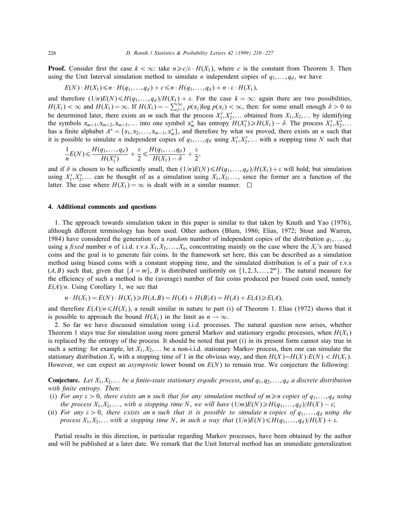**Proof.** Consider first the case  $k < \infty$ : take  $n \ge c/\varepsilon \cdot H(X_1)$ , where c is the constant from Theorem 3. Then using the Unit Interval simulation method to simulate *n* independent copies of  $q_1, \ldots, q_d$ , we have

$$
E(N) \cdot H(X_1) \leq n \cdot H(q_1, \ldots, q_d) + c \leq n \cdot H(q_1, \ldots, q_d) + n \cdot \varepsilon \cdot H(X_1),
$$

and therefore  $(1/n)E(N) \leq H(q_1,...,q_d)/H(X_1) + \varepsilon$ . For the case  $k = \infty$ : again there are two possibilities,  $H(X_1) < \infty$  and  $H(X_1) = \infty$ . If  $H(X_1) = -\sum_{j=1}^{\infty} p(\alpha_j) \log p(\alpha_j) < \infty$ , then: for some small enough  $\delta > 0$  to be determined later, there exists an *m* such that the process  $X'_1, X'_2, \ldots$  obtained from  $X_1, X_2, \ldots$  by identifying the symbols  $\alpha_{m+1}, \alpha_{m+2}, \alpha_{m+3},...$  into one symbol  $\alpha_m^*$  has entropy  $H(X_1') \ge H(X_1) - \delta$ . The process  $X_1', X_2',...$ has a finite alphabet  $A^* = \{\alpha_1, \alpha_2, \dots, \alpha_{m-1}, \alpha_m^*\}$ , and therefore by what we proved, there exists an *n* such that it is possible to simulate *n* independent copies of  $q_1, \ldots, q_d$  using  $X'_1, X'_2, \ldots$  with a stopping time N such that

$$
\frac{1}{n}E(N) \leqslant \frac{H(q_1,\ldots,q_d)}{H(X_1')} + \frac{\varepsilon}{2} \leqslant \frac{H(q_1,\ldots,q_d)}{H(X_1)-\delta} + \frac{\varepsilon}{2},
$$

and if  $\delta$  is chosen to be sufficiently small, then  $(1/n)E(N) \leq H(q_1,...,q_d)/H(X_1) + \varepsilon$  will hold; but simulation using  $X'_1, X'_2, \ldots$  can be thought of as a simulation using  $X_1, X_2, \ldots$ , since the former are a function of the latter. The case where  $H(X_1) = \infty$  is dealt with in a similar manner.  $\square$ 

#### 4. Additional comments and questions

1. The approach towards simulation taken in this paper is similar to that taken by Knuth and Yao (1976), although different terminology has been used. Other authors (Blum, 1986; Elias, 1972; Stout and Warren, 1984) have considered the generation of a *random* number of independent copies of the distribution  $q_1, \ldots, q_d$ using a fixed number n of i.i.d. r.v.s  $X_1, X_2, \ldots, X_n$ , concentrating mainly on the case where the  $X_i$ 's are biased coins and the goal is to generate fair coins. In the framework set here, this can be described as a simulation method using biased coins with a constant stopping time, and the simulated distribution is of a pair of r.v.s  $(A, B)$  such that, given that  $\{A = m\}$ , B is distributed uniformly on  $\{1, 2, 3, \ldots, 2^m\}$ . The natural measure for the efficiency of such a method is the (average) number of fair coins produced per biased coin used, namely  $E(A)/n$ . Using Corollary 1, we see that

$$
n \cdot H(X_1) = E(N) \cdot H(X_1) \ge H(A, B) = H(A) + H(B|A) = H(A) + E(A) \ge E(A),
$$

and therefore  $E(A)/n \le H(X_1)$ , a result similar in nature to part (i) of Theorem 1. Elias (1972) shows that it is possible to approach the bound  $H(X_1)$  in the limit as  $n \to \infty$ .

2. So far we have discussed simulation using i.i.d. processes. The natural question now arises, whether Theorem 1 stays true for simulation using more general Markov and stationary ergodic processes, when  $H(X_1)$ is replaced by the entropy of the process. It should be noted that part (i) in its present form cannot stay true in such a setting: for example, let  $X_1, X_2, \ldots$  be a non-i.i.d. stationary Markov process, then one can simulate the stationary distribution  $X_1$  with a stopping time of 1 in the obvious way, and then  $H(X)=H(X)\cdot E(N) < H(X_1)$ . However, we can expect an *asymptotic* lower bound on  $E(N)$  to remain true. We conjecture the following:

**Conjecture.** Let  $X_1, X_2, \ldots$  be a finite-state stationary ergodic process, and  $q_1, q_2, \ldots, q_d$  a discrete distribution with finite entropy. Then:

- (i) For any  $\varepsilon > 0$ , there exists an n such that for any simulation method of  $m \geq n$  copies of  $q_1, \ldots, q_d$  using the process  $X_1, X_2, \ldots$ , with a stopping time N, we will have  $(1/m)E(N) \geq H(q_1, \ldots, q_d)/H(X) - \varepsilon$ ;
- (ii) For any  $\varepsilon > 0$ , there exists an n such that it is possible to simulate n copies of  $q_1, \ldots, q_d$  using the process  $X_1, X_2,...$  with a stopping time N, in such a way that  $(1/n)E(N) \le H(q_1,...,q_d)/H(X) + \varepsilon$ .

Partial results in this direction, in particular regarding Markov processes, have been obtained by the author and will be published at a later date. We remark that the Unit Interval method has an immediate generalization